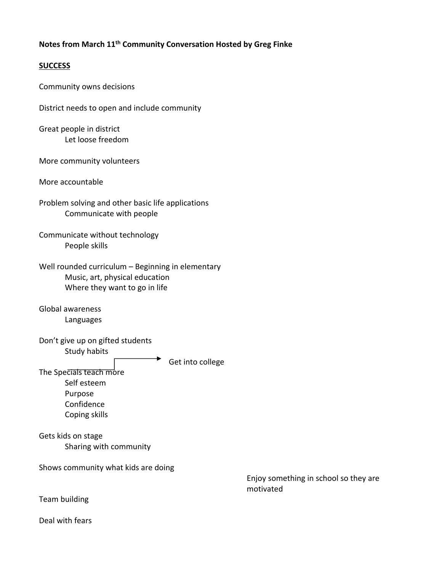## **Notes from March 11th Community Conversation Hosted by Greg Finke**

## **SUCCESS**

Community owns decisions

District needs to open and include community

Great people in district Let loose freedom

More community volunteers

More accountable

Problem solving and other basic life applications Communicate with people

Communicate without technology People skills

| Well rounded curriculum - Beginning in elementary |  |
|---------------------------------------------------|--|
| Music, art, physical education                    |  |
| Where they want to go in life                     |  |

Global awareness Languages

Don't give up on gifted students Study habits

 $\rightarrow$  Get into college

The Specials teach more Self esteem Purpose Confidence Coping skills

Gets kids on stage Sharing with community

Shows community what kids are doing

 Enjoy something in school so they are motivated

Team building

Deal with fears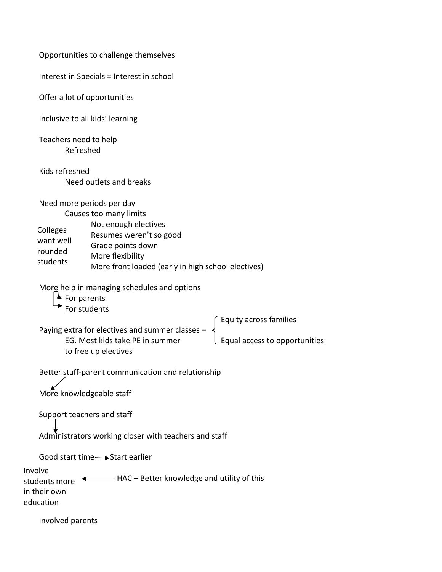Opportunities to challenge themselves Interest in Specials = Interest in school Offer a lot of opportunities Inclusive to all kids' learning Teachers need to help Refreshed Kids refreshed Need outlets and breaks Need more periods per day Causes too many limits Not enough electives Resumes weren't so good Grade points down More flexibility More front loaded (early in high school electives) More help in managing schedules and options  $\blacktriangle$  For parents  $\rightarrow$  For students Equity across families Paying extra for electives and summer classes – EG. Most kids take PE in summer  $\Box$  Equal access to opportunities to free up electives Better staff‐parent communication and relationship More knowledgeable staff Support teachers and staff Administrators working closer with teachers and staff Good start time 
Start earlier students more  $\overline{\phantom{a}+}$  HAC – Better knowledge and utility of this Involved parents Colleges want well rounded students Involve in their own education